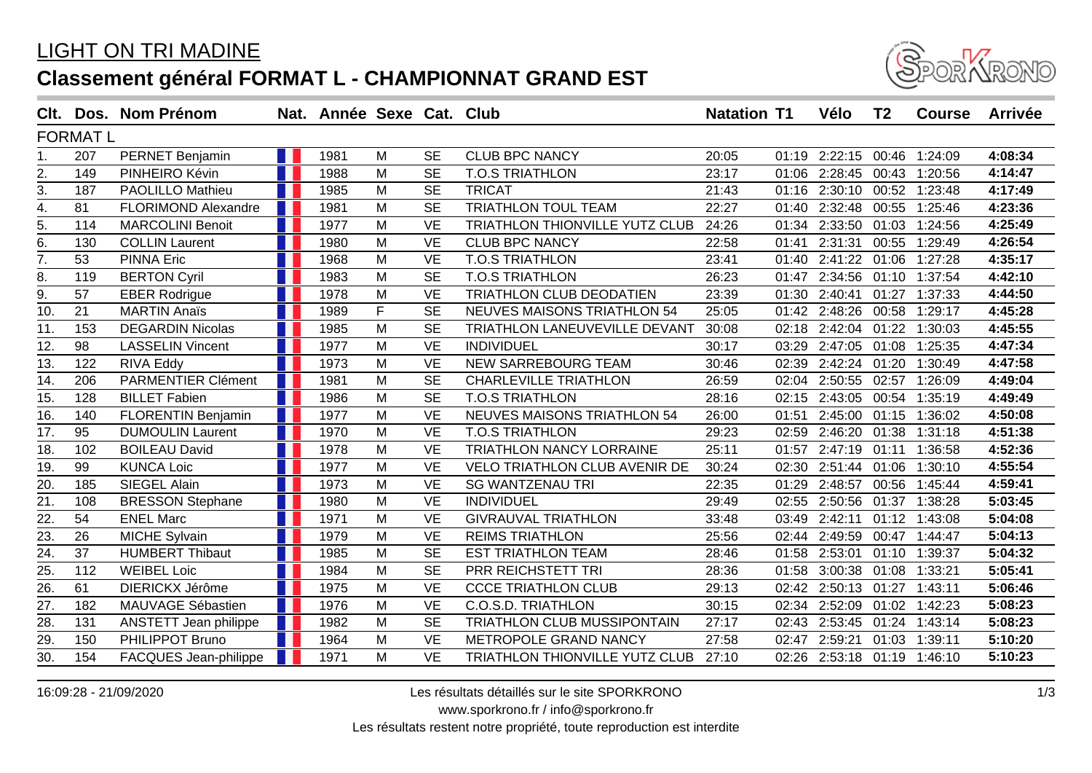## LIGHT ON TRI MADINE **Classement général FORMAT L - CHAMPIONNAT GRAND EST**



| Clt.              |                 | Dos. Nom Prénom            |   | Nat. Année Sexe Cat. Club |   |           |                                       | <b>Natation T1</b> |       | Vélo                        | T <sub>2</sub> | <b>Course</b> | <b>Arrivée</b> |
|-------------------|-----------------|----------------------------|---|---------------------------|---|-----------|---------------------------------------|--------------------|-------|-----------------------------|----------------|---------------|----------------|
|                   | <b>FORMAT L</b> |                            |   |                           |   |           |                                       |                    |       |                             |                |               |                |
| 1.                | 207             | PERNET Benjamin            |   | 1981                      | M | <b>SE</b> | <b>CLUB BPC NANCY</b>                 | 20:05              | 01:19 | 2:22:15                     | 00:46          | 1:24:09       | 4:08:34        |
| 2.                | 149             | PINHEIRO Kévin             |   | 1988                      | M | <b>SE</b> | <b>T.O.S TRIATHLON</b>                | 23:17              | 01:06 | 2:28:45                     | 00:43          | 1:20:56       | 4:14:47        |
| 3.                | 187             | <b>PAOLILLO Mathieu</b>    |   | 1985                      | M | <b>SE</b> | <b>TRICAT</b>                         | 21:43              | 01:16 | 2:30:10                     |                | 00:52 1:23:48 | 4:17:49        |
| 4.                | 81              | <b>FLORIMOND Alexandre</b> |   | 1981                      | M | <b>SE</b> | <b>TRIATHLON TOUL TEAM</b>            | 22:27              | 01:40 | 2:32:48                     | 00:55          | 1:25:46       | 4:23:36        |
| 5.                | 114             | <b>MARCOLINI Benoit</b>    |   | 1977                      | M | <b>VE</b> | TRIATHLON THIONVILLE YUTZ CLUB        | 24:26              |       | 01:34 2:33:50               | 01:03          | 1:24:56       | 4:25:49        |
| 6.                | 130             | <b>COLLIN Laurent</b>      |   | 1980                      | M | <b>VE</b> | <b>CLUB BPC NANCY</b>                 | 22:58              | 01:41 | 2:31:31                     | 00:55          | 1:29:49       | 4:26:54        |
| 7.                | 53              | <b>PINNA Eric</b>          |   | 1968                      | M | <b>VE</b> | <b>T.O.S TRIATHLON</b>                | 23:41              | 01:40 | 2:41:22                     | 01:06          | 1:27:28       | 4:35:17        |
| 8.                | 119             | <b>BERTON Cyril</b>        |   | 1983                      | M | <b>SE</b> | <b>T.O.S TRIATHLON</b>                | 26:23              | 01:47 | 2:34:56                     | 01:10          | 1:37:54       | 4:42:10        |
| $\overline{9}$ .  | 57              | <b>EBER Rodrigue</b>       |   | 1978                      | M | <b>VE</b> | TRIATHLON CLUB DEODATIEN              | 23:39              | 01:30 | 2:40:41                     | 01:27          | 1:37:33       | 4:44:50        |
| 10.               | 21              | <b>MARTIN Anaïs</b>        |   | 1989                      | F | <b>SE</b> | <b>NEUVES MAISONS TRIATHLON 54</b>    | 25:05              | 01:42 | 2:48:26                     | 00:58          | 1:29:17       | 4:45:28        |
| 11.               | 153             | <b>DEGARDIN Nicolas</b>    |   | 1985                      | M | <b>SE</b> | TRIATHLON LANEUVEVILLE DEVANT         | 30:08              | 02:18 | 2:42:04                     | 01:22          | 1:30:03       | 4:45:55        |
| 12.               | 98              | <b>LASSELIN Vincent</b>    |   | 1977                      | M | <b>VE</b> | <b>INDIVIDUEL</b>                     | 30:17              | 03:29 | 2:47:05                     | 01:08          | 1:25:35       | 4:47:34        |
| 13.               | 122             | RIVA Eddy                  |   | 1973                      | M | <b>VE</b> | NEW SARREBOURG TEAM                   | 30:46              | 02:39 | 2:42:24                     | 01:20          | 1:30:49       | 4:47:58        |
| 14.               | 206             | PARMENTIER Clément         |   | 1981                      | M | <b>SE</b> | <b>CHARLEVILLE TRIATHLON</b>          | 26:59              | 02:04 | 2:50:55                     | 02:57          | 1:26:09       | 4:49:04        |
| 15.               | 128             | <b>BILLET Fabien</b>       |   | 1986                      | M | <b>SE</b> | <b>T.O.S TRIATHLON</b>                | 28:16              | 02:15 | 2:43:05                     | 00:54          | 1:35:19       | 4:49:49        |
| 16.               | 140             | <b>FLORENTIN Benjamin</b>  |   | 1977                      | M | <b>VE</b> | <b>NEUVES MAISONS TRIATHLON 54</b>    | 26:00              | 01:51 | 2:45:00                     | 01:15          | 1:36:02       | 4:50:08        |
| $\overline{17}$ . | 95              | <b>DUMOULIN Laurent</b>    |   | 1970                      | M | <b>VE</b> | <b>T.O.S TRIATHLON</b>                | 29:23              | 02:59 | 2:46:20                     | 01:38          | 1:31:18       | 4:51:38        |
| 18.               | 102             | <b>BOILEAU David</b>       |   | 1978                      | M | <b>VE</b> | <b>TRIATHLON NANCY LORRAINE</b>       | 25:11              | 01:57 | 2:47:19                     | 01:11          | 1:36:58       | 4:52:36        |
| 19.               | 99              | <b>KUNCA Loic</b>          |   | 1977                      | M | <b>VE</b> | <b>VELO TRIATHLON CLUB AVENIR DE</b>  | 30:24              | 02:30 | 2:51:44                     | 01:06          | 1:30:10       | 4:55:54        |
| 20.               | 185             | SIEGEL Alain               |   | 1973                      | M | <b>VE</b> | <b>SG WANTZENAU TRI</b>               | 22:35              | 01:29 | 2:48:57                     | 00:56          | 1:45:44       | 4:59:41        |
| $\overline{21}$   | 108             | <b>BRESSON Stephane</b>    |   | 1980                      | M | <b>VE</b> | <b>INDIVIDUEL</b>                     | 29:49              | 02:55 | 2:50:56                     | 01:37          | 1:38:28       | 5:03:45        |
| 22.               | 54              | <b>ENEL Marc</b>           |   | 1971                      | M | <b>VE</b> | <b>GIVRAUVAL TRIATHLON</b>            | 33:48              | 03:49 | 2:42:11                     | 01:12          | 1:43:08       | 5:04:08        |
| $\overline{23}$ . | 26              | <b>MICHE Sylvain</b>       |   | 1979                      | M | <b>VE</b> | <b>REIMS TRIATHLON</b>                | 25:56              | 02:44 | 2:49:59                     |                | 00:47 1:44:47 | 5:04:13        |
| $\overline{24}$ . | 37              | <b>HUMBERT Thibaut</b>     |   | 1985                      | M | <b>SE</b> | <b>EST TRIATHLON TEAM</b>             | 28:46              | 01:58 | 2:53:01                     | 01:10          | 1:39:37       | 5:04:32        |
| 25.               | 112             | <b>WEIBEL Loic</b>         |   | 1984                      | M | <b>SE</b> | PRR REICHSTETT TRI                    | 28:36              | 01:58 | 3:00:38                     | 01:08          | 1:33:21       | 5:05:41        |
| $\overline{26}$   | 61              | DIERICKX Jérôme            |   | 1975                      | M | <b>VE</b> | <b>CCCE TRIATHLON CLUB</b>            | 29:13              | 02:42 | 2:50:13                     | 01:27          | 1:43:11       | 5:06:46        |
| $\overline{27}$ . | 182             | MAUVAGE Sébastien          |   | 1976                      | M | <b>VE</b> | <b>C.O.S.D. TRIATHLON</b>             | 30:15              | 02:34 | 2:52:09                     | 01:02          | 1:42:23       | 5:08:23        |
| 28.               | 131             | ANSTETT Jean philippe      | Ш | 1982                      | M | <b>SE</b> | TRIATHLON CLUB MUSSIPONTAIN           | 27:17              | 02:43 | 2:53:45                     | 01:24          | 1:43:14       | 5:08:23        |
| 29.               | 150             | PHILIPPOT Bruno            |   | 1964                      | M | <b>VE</b> | METROPOLE GRAND NANCY                 | 27:58              | 02:47 | 2:59:21                     | 01:03          | 1:39:11       | 5:10:20        |
| 30.               | 154             | FACQUES Jean-philippe      |   | 1971                      | M | <b>VE</b> | <b>TRIATHLON THIONVILLE YUTZ CLUB</b> | 27:10              |       | 02:26 2:53:18 01:19 1:46:10 |                |               | 5:10:23        |

16:09:28 - 21/09/2020 Les résultats détaillés sur le site SPORKRONO

www.sporkrono.fr / info@sporkrono.fr

Les résultats restent notre propriété, toute reproduction est interdite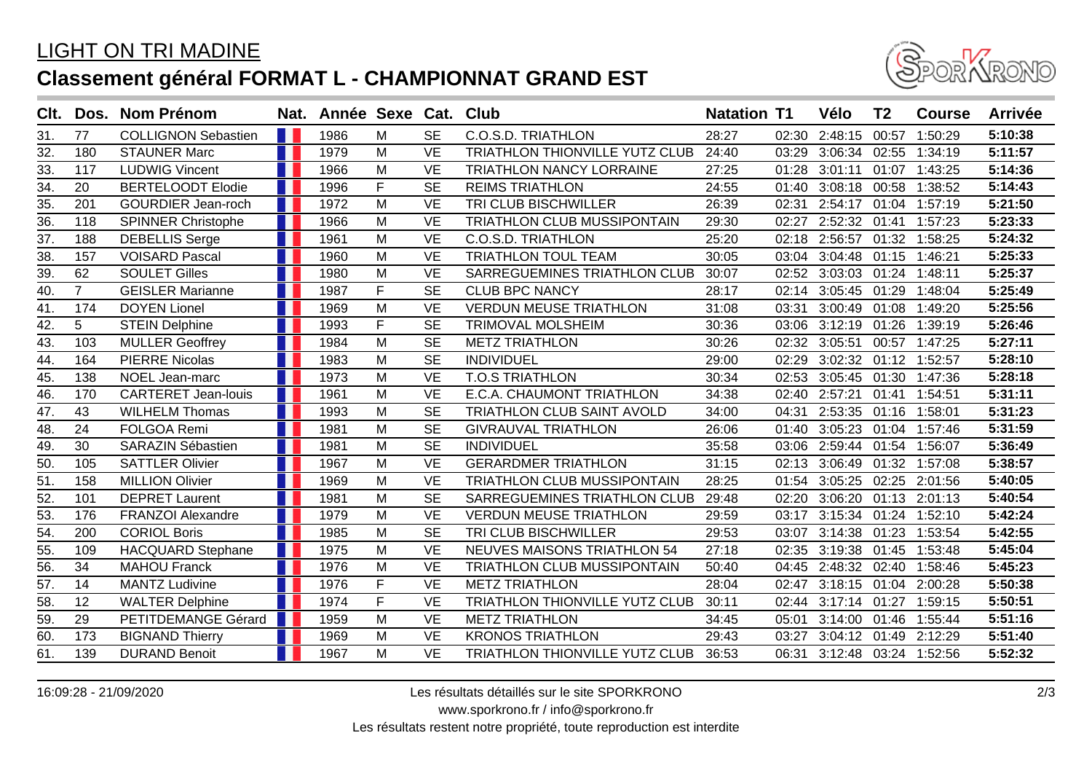## LIGHT ON TRI MADINE **Classement général FORMAT L - CHAMPIONNAT GRAND EST**



| Clt.              |                 | Dos. Nom Prénom            | Nat. | Année Sexe Cat. Club |   |                        |                                    | <b>Natation T1</b> |       | Vélo                        | T <sub>2</sub> | <b>Course</b> | <b>Arrivée</b> |
|-------------------|-----------------|----------------------------|------|----------------------|---|------------------------|------------------------------------|--------------------|-------|-----------------------------|----------------|---------------|----------------|
| 31.               | 77              | <b>COLLIGNON Sebastien</b> | H    | 1986                 | M | <b>SE</b>              | <b>C.O.S.D. TRIATHLON</b>          | 28:27              | 02:30 | 2:48:15                     | 00:57          | 1:50:29       | 5:10:38        |
| 32.               | 180             | <b>STAUNER Marc</b>        |      | 1979                 | M | <b>VE</b>              | TRIATHLON THIONVILLE YUTZ CLUB     | 24:40              | 03:29 | 3:06:34                     | 02:55          | 1:34:19       | 5:11:57        |
| 33.               | 117             | <b>LUDWIG Vincent</b>      |      | 1966                 | M | <b>VE</b>              | <b>TRIATHLON NANCY LORRAINE</b>    | 27:25              | 01:28 | 3:01:11                     |                | 01:07 1:43:25 | 5:14:36        |
| 34.               | 20              | <b>BERTELOODT Elodie</b>   |      | 1996                 | F | <b>SE</b>              | <b>REIMS TRIATHLON</b>             | 24:55              | 01:40 | 3:08:18                     | 00:58          | 1:38:52       | 5:14:43        |
| 35.               | 201             | <b>GOURDIER Jean-roch</b>  |      | 1972                 | M | <b>VE</b>              | TRI CLUB BISCHWILLER               | 26:39              | 02:31 | 2:54:17                     |                | 01:04 1:57:19 | 5:21:50        |
| 36.               | 118             | <b>SPINNER Christophe</b>  |      | 1966                 | M | <b>VE</b>              | <b>TRIATHLON CLUB MUSSIPONTAIN</b> | 29:30              | 02:27 | 2:52:32                     | 01:41          | 1:57:23       | 5:23:33        |
| 37.               | 188             | <b>DEBELLIS Serge</b>      |      | 1961                 | M | <b>VE</b>              | C.O.S.D. TRIATHLON                 | 25:20              | 02:18 | 2:56:57                     | 01:32          | 1:58:25       | 5:24:32        |
| 38.               | 157             | <b>VOISARD Pascal</b>      |      | 1960                 | м | <b>VE</b>              | <b>TRIATHLON TOUL TEAM</b>         | 30:05              | 03:04 | 3:04:48                     |                | 01:15 1:46:21 | 5:25:33        |
| 39.               | 62              | <b>SOULET Gilles</b>       |      | 1980                 | M | <b>VE</b>              | SARREGUEMINES TRIATHLON CLUB       | 30:07              | 02:52 | 3:03:03                     | 01:24          | 1:48:11       | 5:25:37        |
| 40.               | 7 <sup>1</sup>  | <b>GEISLER Marianne</b>    |      | 1987                 | F | <b>SE</b>              | <b>CLUB BPC NANCY</b>              | 28:17              | 02:14 | 3:05:45                     | 01:29          | 1:48:04       | 5:25:49        |
| 41.               | 174             | <b>DOYEN Lionel</b>        |      | 1969                 | M | <b>VE</b>              | <b>VERDUN MEUSE TRIATHLON</b>      | 31:08              | 03:31 | 3:00:49                     | 01:08          | 1:49:20       | 5:25:56        |
| 42.               | 5               | <b>STEIN Delphine</b>      |      | 1993                 | F | <b>SE</b>              | TRIMOVAL MOLSHEIM                  | 30:36              | 03:06 | 3:12:19                     | 01:26          | 1:39:19       | 5:26:46        |
| 43.               | 103             | <b>MULLER Geoffrey</b>     |      | 1984                 | M | <b>SE</b>              | <b>METZ TRIATHLON</b>              | 30:26              |       | 02:32 3:05:51               | 00:57          | 1:47:25       | 5:27:11        |
| 44.               | 164             | <b>PIERRE Nicolas</b>      |      | 1983                 | M | <b>SE</b>              | <b>INDIVIDUEL</b>                  | 29:00              | 02:29 | 3:02:32                     |                | 01:12 1:52:57 | 5:28:10        |
| 45.               | 138             | NOEL Jean-marc             |      | 1973                 | M | <b>VE</b>              | <b>T.O.S TRIATHLON</b>             | 30:34              | 02:53 | 3:05:45                     | 01:30          | 1:47:36       | 5:28:18        |
| 46.               | 170             | <b>CARTERET Jean-louis</b> |      | 1961                 | M | <b>VE</b>              | E.C.A. CHAUMONT TRIATHLON          | 34:38              | 02:40 | 2:57:21                     | 01:41          | 1:54:51       | 5:31:11        |
| 47.               | 43              | <b>WILHELM Thomas</b>      |      | 1993                 | M | <b>SE</b>              | <b>TRIATHLON CLUB SAINT AVOLD</b>  | 34:00              | 04:31 | 2:53:35                     | 01:16          | 1:58:01       | 5:31:23        |
| $\overline{48}$ . | 24              | FOLGOA Remi                |      | 1981                 | M | <b>SE</b>              | <b>GIVRAUVAL TRIATHLON</b>         | 26:06              | 01:40 | 3:05:23                     | 01:04          | 1:57:46       | 5:31:59        |
| 49.               | 30              | <b>SARAZIN Sébastien</b>   |      | 1981                 | м | <b>SE</b>              | <b>INDIVIDUEL</b>                  | 35:58              | 03:06 | 2:59:44                     | 01:54          | 1:56:07       | 5:36:49        |
| $\overline{50}$   | 105             | <b>SATTLER Olivier</b>     |      | 1967                 | M | <b>VE</b>              | <b>GERARDMER TRIATHLON</b>         | 31:15              | 02:13 | 3:06:49                     | 01:32          | 1:57:08       | 5:38:57        |
| 51.               | 158             | <b>MILLION Olivier</b>     |      | 1969                 | м | <b>VE</b>              | <b>TRIATHLON CLUB MUSSIPONTAIN</b> | 28:25              | 01:54 | 3:05:25                     | 02:25          | 2:01:56       | 5:40:05        |
| $\overline{52}$   | 101             | <b>DEPRET Laurent</b>      |      | 1981                 | M | $\overline{\text{SE}}$ | SARREGUEMINES TRIATHLON CLUB       | 29:48              | 02:20 | 3:06:20                     | 01:13          | 2:01:13       | 5:40:54        |
| 53.               | 176             | <b>FRANZOI Alexandre</b>   |      | 1979                 | M | <b>VE</b>              | <b>VERDUN MEUSE TRIATHLON</b>      | 29:59              | 03:17 | 3:15:34                     | 01:24          | 1:52:10       | 5:42:24        |
| $\overline{54}$ . | 200             | <b>CORIOL Boris</b>        |      | 1985                 | M | <b>SE</b>              | TRI CLUB BISCHWILLER               | 29:53              | 03:07 | 3:14:38                     | 01:23          | 1:53:54       | 5:42:55        |
| 55.               | 109             | <b>HACQUARD Stephane</b>   |      | 1975                 | м | <b>VE</b>              | <b>NEUVES MAISONS TRIATHLON 54</b> | 27:18              | 02:35 | 3:19:38                     | 01:45          | 1:53:48       | 5:45:04        |
| $\overline{56}$   | $\overline{34}$ | <b>MAHOU Franck</b>        |      | 1976                 | M | <b>VE</b>              | TRIATHLON CLUB MUSSIPONTAIN        | 50:40              | 04:45 | 2:48:32                     | 02:40          | 1:58:46       | 5:45:23        |
| 57.               | 14              | <b>MANTZ Ludivine</b>      |      | 1976                 | F | <b>VE</b>              | <b>METZ TRIATHLON</b>              | 28:04              | 02:47 | 3:18:15                     | 01:04          | 2:00:28       | 5:50:38        |
| $\overline{58}$ . | 12              | <b>WALTER Delphine</b>     |      | 1974                 | E | <b>VE</b>              | TRIATHLON THIONVILLE YUTZ CLUB     | 30:11              | 02:44 | 3:17:14                     | 01:27          | 1:59:15       | 5:50:51        |
| 59.               | 29              | PETITDEMANGE Gérard        |      | 1959                 | м | <b>VE</b>              | <b>METZ TRIATHLON</b>              | 34:45              | 05:01 | 3:14:00                     |                | 01:46 1:55:44 | 5:51:16        |
| 60.               | 173             | <b>BIGNAND Thierry</b>     |      | 1969                 | M | <b>VE</b>              | <b>KRONOS TRIATHLON</b>            | 29:43              | 03:27 | 3:04:12 01:49               |                | 2:12:29       | 5:51:40        |
| 61.               | 139             | <b>DURAND Benoit</b>       |      | 1967                 | M | <b>VE</b>              | TRIATHLON THIONVILLE YUTZ CLUB     | 36:53              |       | 06:31 3:12:48 03:24 1:52:56 |                |               | 5:52:32        |

16:09:28 - 21/09/2020 Les résultats détaillés sur le site SPORKRONO

www.sporkrono.fr / info@sporkrono.fr

Les résultats restent notre propriété, toute reproduction est interdite